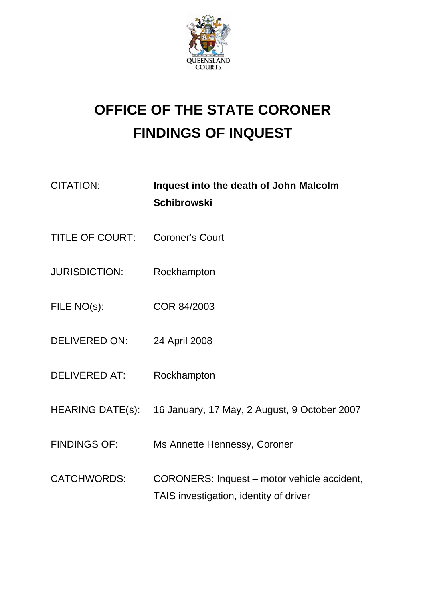

## **OFFICE OF THE STATE CORONER FINDINGS OF INQUEST**

| CITATION: | Inquest into the death of John Malcolm |
|-----------|----------------------------------------|
|           | <b>Schibrowski</b>                     |

- TITLE OF COURT: Coroner's Court
- JURISDICTION: Rockhampton
- FILE NO(s): COR 84/2003
- DELIVERED ON: 24 April 2008
- DELIVERED AT: Rockhampton
- HEARING DATE(s): 16 January, 17 May, 2 August, 9 October 2007
- FINDINGS OF: Ms Annette Hennessy, Coroner
- CATCHWORDS: CORONERS: Inquest motor vehicle accident, TAIS investigation, identity of driver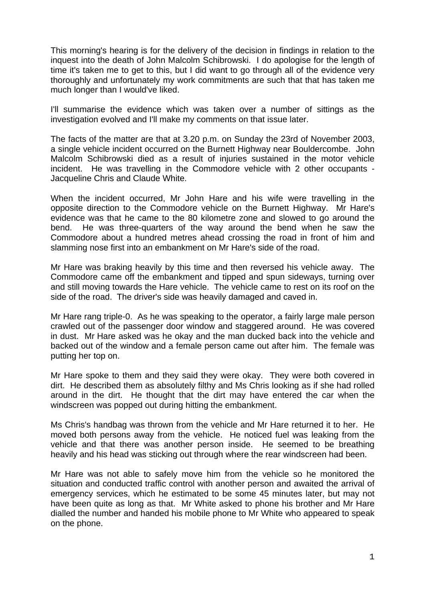This morning's hearing is for the delivery of the decision in findings in relation to the inquest into the death of John Malcolm Schibrowski. I do apologise for the length of time it's taken me to get to this, but I did want to go through all of the evidence very thoroughly and unfortunately my work commitments are such that that has taken me much longer than I would've liked.

I'll summarise the evidence which was taken over a number of sittings as the investigation evolved and I'll make my comments on that issue later.

The facts of the matter are that at 3.20 p.m. on Sunday the 23rd of November 2003, a single vehicle incident occurred on the Burnett Highway near Bouldercombe. John Malcolm Schibrowski died as a result of injuries sustained in the motor vehicle incident. He was travelling in the Commodore vehicle with 2 other occupants - Jacqueline Chris and Claude White.

When the incident occurred, Mr John Hare and his wife were travelling in the opposite direction to the Commodore vehicle on the Burnett Highway. Mr Hare's evidence was that he came to the 80 kilometre zone and slowed to go around the bend. He was three-quarters of the way around the bend when he saw the Commodore about a hundred metres ahead crossing the road in front of him and slamming nose first into an embankment on Mr Hare's side of the road.

Mr Hare was braking heavily by this time and then reversed his vehicle away. The Commodore came off the embankment and tipped and spun sideways, turning over and still moving towards the Hare vehicle. The vehicle came to rest on its roof on the side of the road. The driver's side was heavily damaged and caved in.

Mr Hare rang triple-0. As he was speaking to the operator, a fairly large male person crawled out of the passenger door window and staggered around. He was covered in dust. Mr Hare asked was he okay and the man ducked back into the vehicle and backed out of the window and a female person came out after him. The female was putting her top on.

Mr Hare spoke to them and they said they were okay. They were both covered in dirt. He described them as absolutely filthy and Ms Chris looking as if she had rolled around in the dirt. He thought that the dirt may have entered the car when the windscreen was popped out during hitting the embankment.

Ms Chris's handbag was thrown from the vehicle and Mr Hare returned it to her. He moved both persons away from the vehicle. He noticed fuel was leaking from the vehicle and that there was another person inside. He seemed to be breathing heavily and his head was sticking out through where the rear windscreen had been.

Mr Hare was not able to safely move him from the vehicle so he monitored the situation and conducted traffic control with another person and awaited the arrival of emergency services, which he estimated to be some 45 minutes later, but may not have been quite as long as that. Mr White asked to phone his brother and Mr Hare dialled the number and handed his mobile phone to Mr White who appeared to speak on the phone.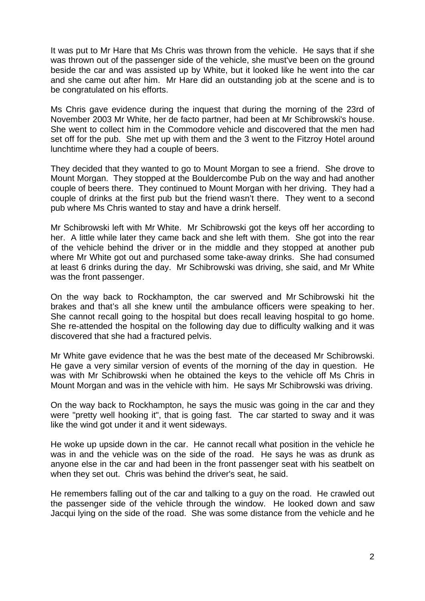It was put to Mr Hare that Ms Chris was thrown from the vehicle. He says that if she was thrown out of the passenger side of the vehicle, she must've been on the ground beside the car and was assisted up by White, but it looked like he went into the car and she came out after him. Mr Hare did an outstanding job at the scene and is to be congratulated on his efforts.

Ms Chris gave evidence during the inquest that during the morning of the 23rd of November 2003 Mr White, her de facto partner, had been at Mr Schibrowski's house. She went to collect him in the Commodore vehicle and discovered that the men had set off for the pub. She met up with them and the 3 went to the Fitzroy Hotel around lunchtime where they had a couple of beers.

They decided that they wanted to go to Mount Morgan to see a friend. She drove to Mount Morgan. They stopped at the Bouldercombe Pub on the way and had another couple of beers there. They continued to Mount Morgan with her driving. They had a couple of drinks at the first pub but the friend wasn't there. They went to a second pub where Ms Chris wanted to stay and have a drink herself.

Mr Schibrowski left with Mr White. Mr Schibrowski got the keys off her according to her. A little while later they came back and she left with them. She got into the rear of the vehicle behind the driver or in the middle and they stopped at another pub where Mr White got out and purchased some take-away drinks. She had consumed at least 6 drinks during the day. Mr Schibrowski was driving, she said, and Mr White was the front passenger.

On the way back to Rockhampton, the car swerved and Mr Schibrowski hit the brakes and that's all she knew until the ambulance officers were speaking to her. She cannot recall going to the hospital but does recall leaving hospital to go home. She re-attended the hospital on the following day due to difficulty walking and it was discovered that she had a fractured pelvis.

Mr White gave evidence that he was the best mate of the deceased Mr Schibrowski. He gave a very similar version of events of the morning of the day in question. He was with Mr Schibrowski when he obtained the keys to the vehicle off Ms Chris in Mount Morgan and was in the vehicle with him. He says Mr Schibrowski was driving.

On the way back to Rockhampton, he says the music was going in the car and they were "pretty well hooking it", that is going fast. The car started to sway and it was like the wind got under it and it went sideways.

He woke up upside down in the car. He cannot recall what position in the vehicle he was in and the vehicle was on the side of the road. He says he was as drunk as anyone else in the car and had been in the front passenger seat with his seatbelt on when they set out. Chris was behind the driver's seat, he said.

He remembers falling out of the car and talking to a guy on the road. He crawled out the passenger side of the vehicle through the window. He looked down and saw Jacqui lying on the side of the road. She was some distance from the vehicle and he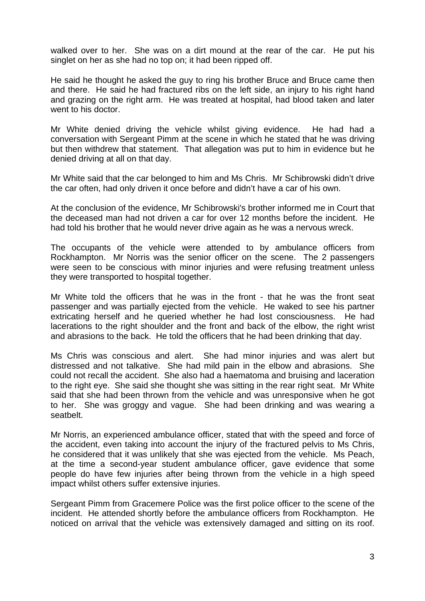walked over to her. She was on a dirt mound at the rear of the car. He put his singlet on her as she had no top on; it had been ripped off.

He said he thought he asked the guy to ring his brother Bruce and Bruce came then and there. He said he had fractured ribs on the left side, an injury to his right hand and grazing on the right arm. He was treated at hospital, had blood taken and later went to his doctor.

Mr White denied driving the vehicle whilst giving evidence. He had had a conversation with Sergeant Pimm at the scene in which he stated that he was driving but then withdrew that statement. That allegation was put to him in evidence but he denied driving at all on that day.

Mr White said that the car belonged to him and Ms Chris. Mr Schibrowski didn't drive the car often, had only driven it once before and didn't have a car of his own.

At the conclusion of the evidence, Mr Schibrowski's brother informed me in Court that the deceased man had not driven a car for over 12 months before the incident. He had told his brother that he would never drive again as he was a nervous wreck.

The occupants of the vehicle were attended to by ambulance officers from Rockhampton. Mr Norris was the senior officer on the scene. The 2 passengers were seen to be conscious with minor injuries and were refusing treatment unless they were transported to hospital together.

Mr White told the officers that he was in the front - that he was the front seat passenger and was partially ejected from the vehicle. He waked to see his partner extricating herself and he queried whether he had lost consciousness. He had lacerations to the right shoulder and the front and back of the elbow, the right wrist and abrasions to the back. He told the officers that he had been drinking that day.

Ms Chris was conscious and alert. She had minor injuries and was alert but distressed and not talkative. She had mild pain in the elbow and abrasions. She could not recall the accident. She also had a haematoma and bruising and laceration to the right eye. She said she thought she was sitting in the rear right seat. Mr White said that she had been thrown from the vehicle and was unresponsive when he got to her. She was groggy and vague. She had been drinking and was wearing a seatbelt.

Mr Norris, an experienced ambulance officer, stated that with the speed and force of the accident, even taking into account the injury of the fractured pelvis to Ms Chris, he considered that it was unlikely that she was ejected from the vehicle. Ms Peach, at the time a second-year student ambulance officer, gave evidence that some people do have few injuries after being thrown from the vehicle in a high speed impact whilst others suffer extensive injuries.

Sergeant Pimm from Gracemere Police was the first police officer to the scene of the incident. He attended shortly before the ambulance officers from Rockhampton. He noticed on arrival that the vehicle was extensively damaged and sitting on its roof.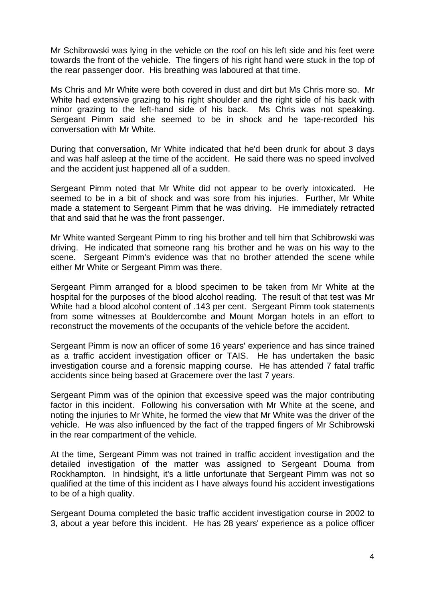Mr Schibrowski was lying in the vehicle on the roof on his left side and his feet were towards the front of the vehicle. The fingers of his right hand were stuck in the top of the rear passenger door. His breathing was laboured at that time.

Ms Chris and Mr White were both covered in dust and dirt but Ms Chris more so. Mr White had extensive grazing to his right shoulder and the right side of his back with minor grazing to the left-hand side of his back. Ms Chris was not speaking. Sergeant Pimm said she seemed to be in shock and he tape-recorded his conversation with Mr White.

During that conversation, Mr White indicated that he'd been drunk for about 3 days and was half asleep at the time of the accident. He said there was no speed involved and the accident just happened all of a sudden.

Sergeant Pimm noted that Mr White did not appear to be overly intoxicated. He seemed to be in a bit of shock and was sore from his injuries. Further, Mr White made a statement to Sergeant Pimm that he was driving. He immediately retracted that and said that he was the front passenger.

Mr White wanted Sergeant Pimm to ring his brother and tell him that Schibrowski was driving. He indicated that someone rang his brother and he was on his way to the scene. Sergeant Pimm's evidence was that no brother attended the scene while either Mr White or Sergeant Pimm was there.

Sergeant Pimm arranged for a blood specimen to be taken from Mr White at the hospital for the purposes of the blood alcohol reading. The result of that test was Mr White had a blood alcohol content of .143 per cent. Sergeant Pimm took statements from some witnesses at Bouldercombe and Mount Morgan hotels in an effort to reconstruct the movements of the occupants of the vehicle before the accident.

Sergeant Pimm is now an officer of some 16 years' experience and has since trained as a traffic accident investigation officer or TAIS. He has undertaken the basic investigation course and a forensic mapping course. He has attended 7 fatal traffic accidents since being based at Gracemere over the last 7 years.

Sergeant Pimm was of the opinion that excessive speed was the major contributing factor in this incident. Following his conversation with Mr White at the scene, and noting the injuries to Mr White, he formed the view that Mr White was the driver of the vehicle. He was also influenced by the fact of the trapped fingers of Mr Schibrowski in the rear compartment of the vehicle.

At the time, Sergeant Pimm was not trained in traffic accident investigation and the detailed investigation of the matter was assigned to Sergeant Douma from Rockhampton. In hindsight, it's a little unfortunate that Sergeant Pimm was not so qualified at the time of this incident as I have always found his accident investigations to be of a high quality.

Sergeant Douma completed the basic traffic accident investigation course in 2002 to 3, about a year before this incident. He has 28 years' experience as a police officer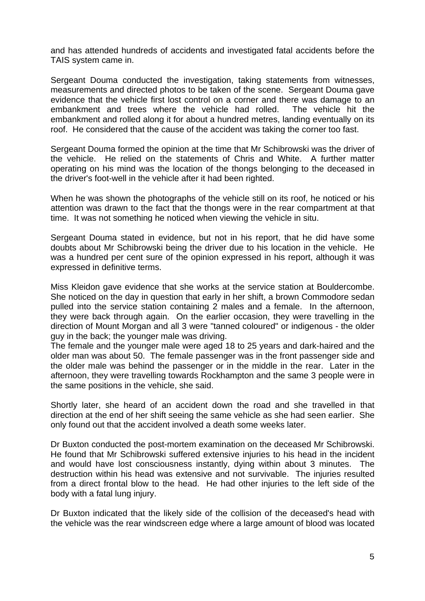and has attended hundreds of accidents and investigated fatal accidents before the TAIS system came in.

Sergeant Douma conducted the investigation, taking statements from witnesses, measurements and directed photos to be taken of the scene. Sergeant Douma gave evidence that the vehicle first lost control on a corner and there was damage to an embankment and trees where the vehicle had rolled. The vehicle hit the embankment and rolled along it for about a hundred metres, landing eventually on its roof. He considered that the cause of the accident was taking the corner too fast.

Sergeant Douma formed the opinion at the time that Mr Schibrowski was the driver of the vehicle. He relied on the statements of Chris and White. A further matter operating on his mind was the location of the thongs belonging to the deceased in the driver's foot-well in the vehicle after it had been righted.

When he was shown the photographs of the vehicle still on its roof, he noticed or his attention was drawn to the fact that the thongs were in the rear compartment at that time. It was not something he noticed when viewing the vehicle in situ.

Sergeant Douma stated in evidence, but not in his report, that he did have some doubts about Mr Schibrowski being the driver due to his location in the vehicle. He was a hundred per cent sure of the opinion expressed in his report, although it was expressed in definitive terms.

Miss Kleidon gave evidence that she works at the service station at Bouldercombe. She noticed on the day in question that early in her shift, a brown Commodore sedan pulled into the service station containing 2 males and a female. In the afternoon, they were back through again. On the earlier occasion, they were travelling in the direction of Mount Morgan and all 3 were "tanned coloured" or indigenous - the older guy in the back; the younger male was driving.

The female and the younger male were aged 18 to 25 years and dark-haired and the older man was about 50. The female passenger was in the front passenger side and the older male was behind the passenger or in the middle in the rear. Later in the afternoon, they were travelling towards Rockhampton and the same 3 people were in the same positions in the vehicle, she said.

Shortly later, she heard of an accident down the road and she travelled in that direction at the end of her shift seeing the same vehicle as she had seen earlier. She only found out that the accident involved a death some weeks later.

Dr Buxton conducted the post-mortem examination on the deceased Mr Schibrowski. He found that Mr Schibrowski suffered extensive injuries to his head in the incident and would have lost consciousness instantly, dying within about 3 minutes. The destruction within his head was extensive and not survivable. The injuries resulted from a direct frontal blow to the head. He had other injuries to the left side of the body with a fatal lung injury.

Dr Buxton indicated that the likely side of the collision of the deceased's head with the vehicle was the rear windscreen edge where a large amount of blood was located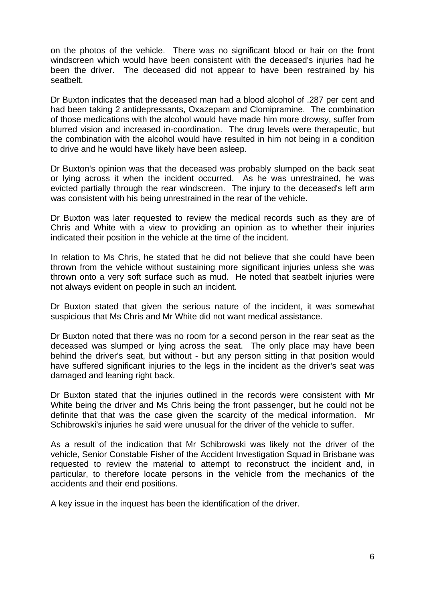on the photos of the vehicle. There was no significant blood or hair on the front windscreen which would have been consistent with the deceased's injuries had he been the driver. The deceased did not appear to have been restrained by his seatbelt.

Dr Buxton indicates that the deceased man had a blood alcohol of .287 per cent and had been taking 2 antidepressants, Oxazepam and Clomipramine. The combination of those medications with the alcohol would have made him more drowsy, suffer from blurred vision and increased in-coordination. The drug levels were therapeutic, but the combination with the alcohol would have resulted in him not being in a condition to drive and he would have likely have been asleep.

Dr Buxton's opinion was that the deceased was probably slumped on the back seat or lying across it when the incident occurred. As he was unrestrained, he was evicted partially through the rear windscreen. The injury to the deceased's left arm was consistent with his being unrestrained in the rear of the vehicle.

Dr Buxton was later requested to review the medical records such as they are of Chris and White with a view to providing an opinion as to whether their injuries indicated their position in the vehicle at the time of the incident.

In relation to Ms Chris, he stated that he did not believe that she could have been thrown from the vehicle without sustaining more significant injuries unless she was thrown onto a very soft surface such as mud. He noted that seatbelt injuries were not always evident on people in such an incident.

Dr Buxton stated that given the serious nature of the incident, it was somewhat suspicious that Ms Chris and Mr White did not want medical assistance.

Dr Buxton noted that there was no room for a second person in the rear seat as the deceased was slumped or lying across the seat. The only place may have been behind the driver's seat, but without - but any person sitting in that position would have suffered significant injuries to the legs in the incident as the driver's seat was damaged and leaning right back.

Dr Buxton stated that the injuries outlined in the records were consistent with Mr White being the driver and Ms Chris being the front passenger, but he could not be definite that that was the case given the scarcity of the medical information. Mr Schibrowski's injuries he said were unusual for the driver of the vehicle to suffer.

As a result of the indication that Mr Schibrowski was likely not the driver of the vehicle, Senior Constable Fisher of the Accident Investigation Squad in Brisbane was requested to review the material to attempt to reconstruct the incident and, in particular, to therefore locate persons in the vehicle from the mechanics of the accidents and their end positions.

A key issue in the inquest has been the identification of the driver.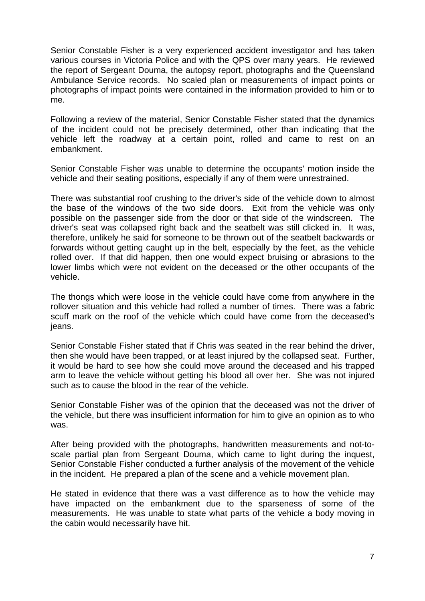Senior Constable Fisher is a very experienced accident investigator and has taken various courses in Victoria Police and with the QPS over many years. He reviewed the report of Sergeant Douma, the autopsy report, photographs and the Queensland Ambulance Service records. No scaled plan or measurements of impact points or photographs of impact points were contained in the information provided to him or to me.

Following a review of the material, Senior Constable Fisher stated that the dynamics of the incident could not be precisely determined, other than indicating that the vehicle left the roadway at a certain point, rolled and came to rest on an embankment.

Senior Constable Fisher was unable to determine the occupants' motion inside the vehicle and their seating positions, especially if any of them were unrestrained.

There was substantial roof crushing to the driver's side of the vehicle down to almost the base of the windows of the two side doors. Exit from the vehicle was only possible on the passenger side from the door or that side of the windscreen. The driver's seat was collapsed right back and the seatbelt was still clicked in. It was, therefore, unlikely he said for someone to be thrown out of the seatbelt backwards or forwards without getting caught up in the belt, especially by the feet, as the vehicle rolled over. If that did happen, then one would expect bruising or abrasions to the lower limbs which were not evident on the deceased or the other occupants of the vehicle.

The thongs which were loose in the vehicle could have come from anywhere in the rollover situation and this vehicle had rolled a number of times. There was a fabric scuff mark on the roof of the vehicle which could have come from the deceased's ieans.

Senior Constable Fisher stated that if Chris was seated in the rear behind the driver, then she would have been trapped, or at least injured by the collapsed seat. Further, it would be hard to see how she could move around the deceased and his trapped arm to leave the vehicle without getting his blood all over her. She was not injured such as to cause the blood in the rear of the vehicle.

Senior Constable Fisher was of the opinion that the deceased was not the driver of the vehicle, but there was insufficient information for him to give an opinion as to who was.

After being provided with the photographs, handwritten measurements and not-toscale partial plan from Sergeant Douma, which came to light during the inquest, Senior Constable Fisher conducted a further analysis of the movement of the vehicle in the incident. He prepared a plan of the scene and a vehicle movement plan.

He stated in evidence that there was a vast difference as to how the vehicle may have impacted on the embankment due to the sparseness of some of the measurements. He was unable to state what parts of the vehicle a body moving in the cabin would necessarily have hit.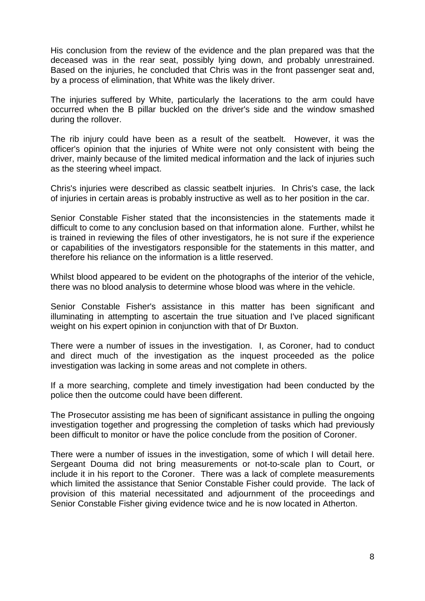His conclusion from the review of the evidence and the plan prepared was that the deceased was in the rear seat, possibly lying down, and probably unrestrained. Based on the injuries, he concluded that Chris was in the front passenger seat and, by a process of elimination, that White was the likely driver.

The injuries suffered by White, particularly the lacerations to the arm could have occurred when the B pillar buckled on the driver's side and the window smashed during the rollover.

The rib injury could have been as a result of the seatbelt. However, it was the officer's opinion that the injuries of White were not only consistent with being the driver, mainly because of the limited medical information and the lack of injuries such as the steering wheel impact.

Chris's injuries were described as classic seatbelt injuries. In Chris's case, the lack of injuries in certain areas is probably instructive as well as to her position in the car.

Senior Constable Fisher stated that the inconsistencies in the statements made it difficult to come to any conclusion based on that information alone. Further, whilst he is trained in reviewing the files of other investigators, he is not sure if the experience or capabilities of the investigators responsible for the statements in this matter, and therefore his reliance on the information is a little reserved.

Whilst blood appeared to be evident on the photographs of the interior of the vehicle, there was no blood analysis to determine whose blood was where in the vehicle.

Senior Constable Fisher's assistance in this matter has been significant and illuminating in attempting to ascertain the true situation and I've placed significant weight on his expert opinion in conjunction with that of Dr Buxton.

There were a number of issues in the investigation. I, as Coroner, had to conduct and direct much of the investigation as the inquest proceeded as the police investigation was lacking in some areas and not complete in others.

If a more searching, complete and timely investigation had been conducted by the police then the outcome could have been different.

The Prosecutor assisting me has been of significant assistance in pulling the ongoing investigation together and progressing the completion of tasks which had previously been difficult to monitor or have the police conclude from the position of Coroner.

There were a number of issues in the investigation, some of which I will detail here. Sergeant Douma did not bring measurements or not-to-scale plan to Court, or include it in his report to the Coroner. There was a lack of complete measurements which limited the assistance that Senior Constable Fisher could provide. The lack of provision of this material necessitated and adjournment of the proceedings and Senior Constable Fisher giving evidence twice and he is now located in Atherton.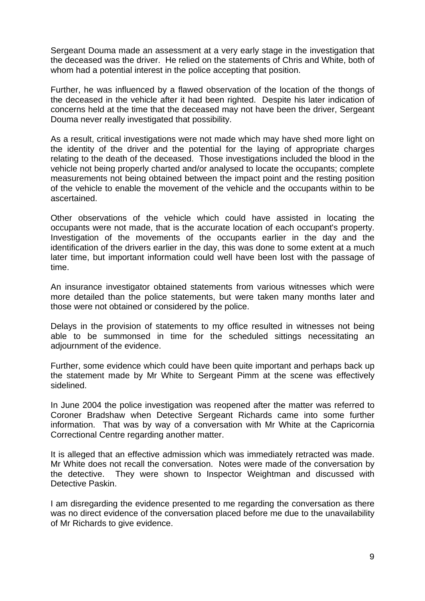Sergeant Douma made an assessment at a very early stage in the investigation that the deceased was the driver. He relied on the statements of Chris and White, both of whom had a potential interest in the police accepting that position.

Further, he was influenced by a flawed observation of the location of the thongs of the deceased in the vehicle after it had been righted. Despite his later indication of concerns held at the time that the deceased may not have been the driver, Sergeant Douma never really investigated that possibility.

As a result, critical investigations were not made which may have shed more light on the identity of the driver and the potential for the laying of appropriate charges relating to the death of the deceased. Those investigations included the blood in the vehicle not being properly charted and/or analysed to locate the occupants; complete measurements not being obtained between the impact point and the resting position of the vehicle to enable the movement of the vehicle and the occupants within to be ascertained.

Other observations of the vehicle which could have assisted in locating the occupants were not made, that is the accurate location of each occupant's property. Investigation of the movements of the occupants earlier in the day and the identification of the drivers earlier in the day, this was done to some extent at a much later time, but important information could well have been lost with the passage of time.

An insurance investigator obtained statements from various witnesses which were more detailed than the police statements, but were taken many months later and those were not obtained or considered by the police.

Delays in the provision of statements to my office resulted in witnesses not being able to be summonsed in time for the scheduled sittings necessitating an adjournment of the evidence.

Further, some evidence which could have been quite important and perhaps back up the statement made by Mr White to Sergeant Pimm at the scene was effectively sidelined.

In June 2004 the police investigation was reopened after the matter was referred to Coroner Bradshaw when Detective Sergeant Richards came into some further information. That was by way of a conversation with Mr White at the Capricornia Correctional Centre regarding another matter.

It is alleged that an effective admission which was immediately retracted was made. Mr White does not recall the conversation. Notes were made of the conversation by the detective. They were shown to Inspector Weightman and discussed with Detective Paskin.

I am disregarding the evidence presented to me regarding the conversation as there was no direct evidence of the conversation placed before me due to the unavailability of Mr Richards to give evidence.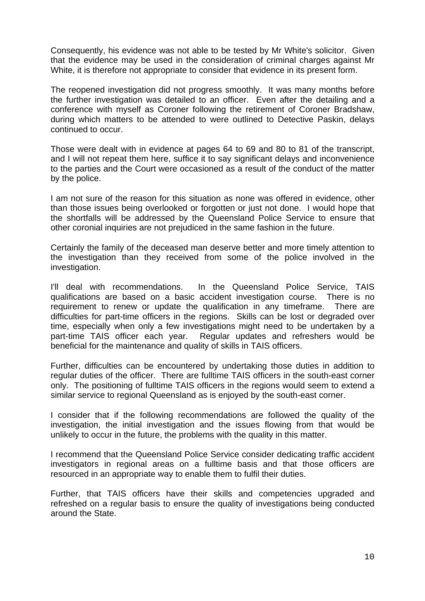Consequently, his evidence was not able to be tested by Mr White's solicitor. Given that the evidence may be used in the consideration of criminal charges against Mr White, it is therefore not appropriate to consider that evidence in its present form.

The reopened investigation did not progress smoothly. It was many months before the further investigation was detailed to an officer. Even after the detailing and a conference with myself as Coroner following the retirement of Coroner Bradshaw, during which matters to be attended to were outlined to Detective Paskin, delays continued to occur.

Those were dealt with in evidence at pages 64 to 69 and 80 to 81 of the transcript, and I will not repeat them here, suffice it to say significant delays and inconvenience to the parties and the Court were occasioned as a result of the conduct of the matter by the police.

I am not sure of the reason for this situation as none was offered in evidence, other than those issues being overlooked or forgotten or just not done. I would hope that the shortfalls will be addressed by the Queensland Police Service to ensure that other coronial inquiries are not prejudiced in the same fashion in the future.

Certainly the family of the deceased man deserve better and more timely attention to the investigation than they received from some of the police involved in the investigation.

I'll deal with recommendations. In the Queensland Police Service, TAIS qualifications are based on a basic accident investigation course. There is no requirement to renew or update the qualification in any timeframe. There are difficulties for part-time officers in the regions. Skills can be lost or degraded over time, especially when only a few investigations might need to be undertaken by a part-time TAIS officer each year. Regular updates and refreshers would be beneficial for the maintenance and quality of skills in TAIS officers.

Further, difficulties can be encountered by undertaking those duties in addition to regular duties of the officer. There are fulltime TAIS officers in the south-east corner only. The positioning of fulltime TAIS officers in the regions would seem to extend a similar service to regional Queensland as is enjoyed by the south-east corner.

I consider that if the following recommendations are followed the quality of the investigation, the initial investigation and the issues flowing from that would be unlikely to occur in the future, the problems with the quality in this matter.

I recommend that the Queensland Police Service consider dedicating traffic accident investigators in regional areas on a fulltime basis and that those officers are resourced in an appropriate way to enable them to fulfil their duties.

Further, that TAIS officers have their skills and competencies upgraded and refreshed on a regular basis to ensure the quality of investigations being conducted around the State.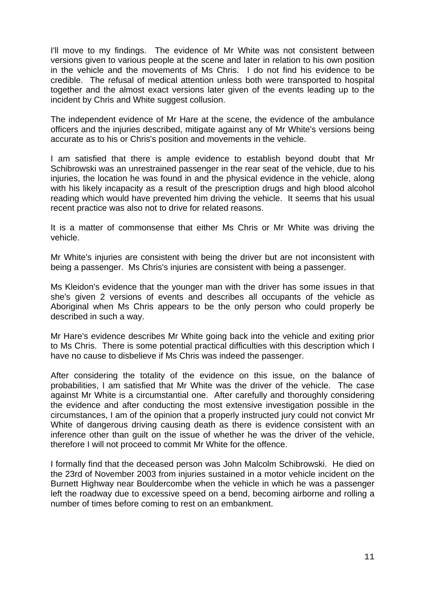I'll move to my findings. The evidence of Mr White was not consistent between versions given to various people at the scene and later in relation to his own position in the vehicle and the movements of Ms Chris. I do not find his evidence to be credible. The refusal of medical attention unless both were transported to hospital together and the almost exact versions later given of the events leading up to the incident by Chris and White suggest collusion.

The independent evidence of Mr Hare at the scene, the evidence of the ambulance officers and the injuries described, mitigate against any of Mr White's versions being accurate as to his or Chris's position and movements in the vehicle.

I am satisfied that there is ample evidence to establish beyond doubt that Mr Schibrowski was an unrestrained passenger in the rear seat of the vehicle, due to his injuries, the location he was found in and the physical evidence in the vehicle, along with his likely incapacity as a result of the prescription drugs and high blood alcohol reading which would have prevented him driving the vehicle. It seems that his usual recent practice was also not to drive for related reasons.

It is a matter of commonsense that either Ms Chris or Mr White was driving the vehicle.

Mr White's injuries are consistent with being the driver but are not inconsistent with being a passenger. Ms Chris's injuries are consistent with being a passenger.

Ms Kleidon's evidence that the younger man with the driver has some issues in that she's given 2 versions of events and describes all occupants of the vehicle as Aboriginal when Ms Chris appears to be the only person who could properly be described in such a way.

Mr Hare's evidence describes Mr White going back into the vehicle and exiting prior to Ms Chris. There is some potential practical difficulties with this description which I have no cause to disbelieve if Ms Chris was indeed the passenger.

After considering the totality of the evidence on this issue, on the balance of probabilities, I am satisfied that Mr White was the driver of the vehicle. The case against Mr White is a circumstantial one. After carefully and thoroughly considering the evidence and after conducting the most extensive investigation possible in the circumstances, I am of the opinion that a properly instructed jury could not convict Mr White of dangerous driving causing death as there is evidence consistent with an inference other than guilt on the issue of whether he was the driver of the vehicle, therefore I will not proceed to commit Mr White for the offence.

I formally find that the deceased person was John Malcolm Schibrowski. He died on the 23rd of November 2003 from injuries sustained in a motor vehicle incident on the Burnett Highway near Bouldercombe when the vehicle in which he was a passenger left the roadway due to excessive speed on a bend, becoming airborne and rolling a number of times before coming to rest on an embankment.